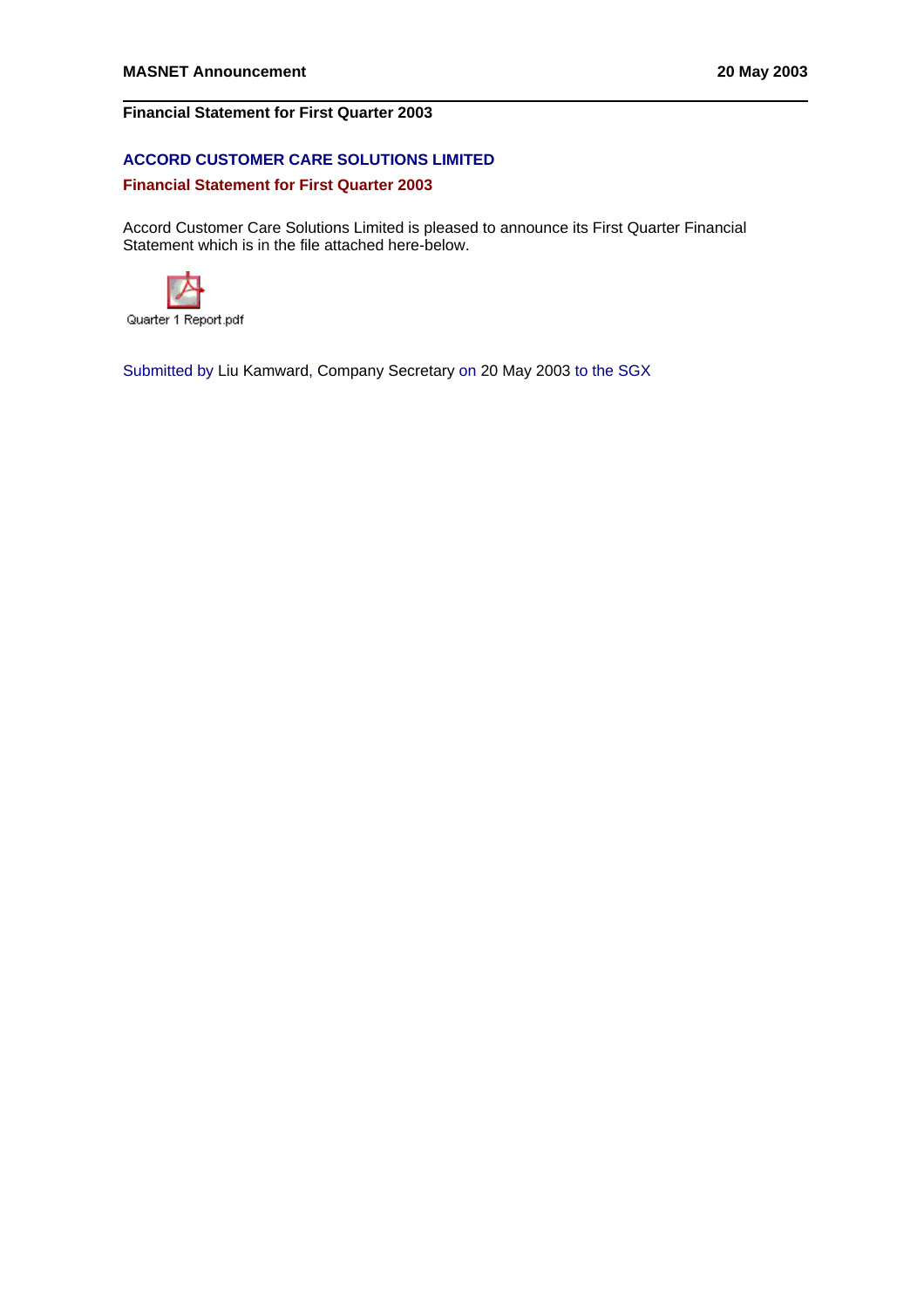# **Financial Statement for First Quarter 2003**

# **ACCORD CUSTOMER CARE SOLUTIONS LIMITED**

## **Financial Statement for First Quarter 2003**

Accord Customer Care Solutions Limited is pleased to announce its First Quarter Financial Statement which is in the file attached here-below.



Quarter 1 Report.pdf

Submitted by Liu Kamward, Company Secretary on 20 May 2003 to the SGX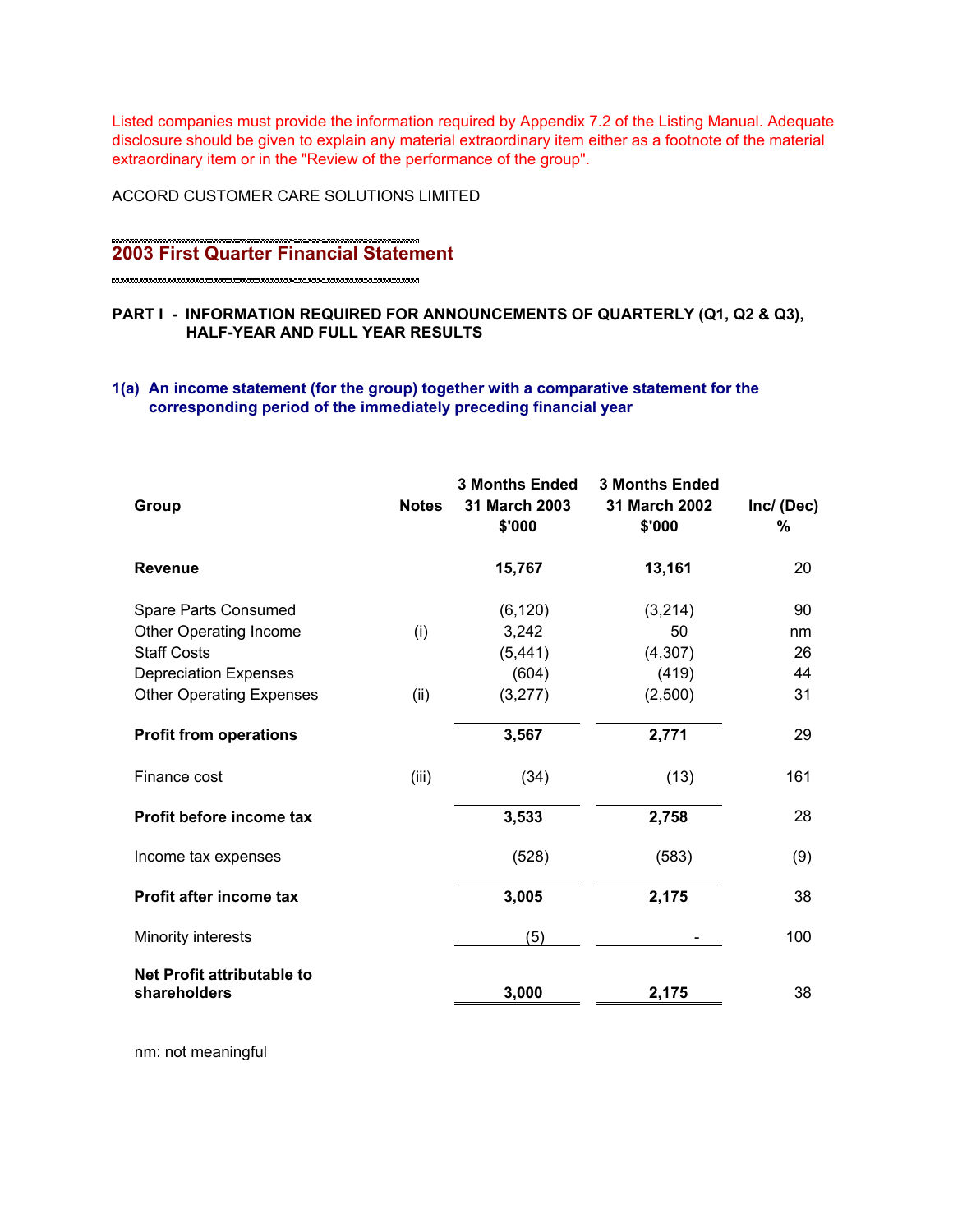Listed companies must provide the information required by Appendix 7.2 of the Listing Manual. Adequate disclosure should be given to explain any material extraordinary item either as a footnote of the material extraordinary item or in the "Review of the performance of the group".

ACCORD CUSTOMER CARE SOLUTIONS LIMITED

# **2003 First Quarter Financial Statement**

## **PART I - INFORMATION REQUIRED FOR ANNOUNCEMENTS OF QUARTERLY (Q1, Q2 & Q3), HALF-YEAR AND FULL YEAR RESULTS**

# **1(a) An income statement (for the group) together with a comparative statement for the corresponding period of the immediately preceding financial year**

| <b>Notes</b> | <b>3 Months Ended</b><br>31 March 2003<br>\$'000 | <b>3 Months Ended</b><br>31 March 2002<br>\$'000 | Inc/ (Dec)<br>% |
|--------------|--------------------------------------------------|--------------------------------------------------|-----------------|
|              | 15,767                                           | 13,161                                           | 20              |
|              | (6, 120)                                         | (3,214)                                          | 90              |
| (i)          | 3,242                                            | 50                                               | nm              |
|              | (5, 441)                                         | (4, 307)                                         | 26              |
|              | (604)                                            | (419)                                            | 44              |
| (ii)         | (3,277)                                          | (2,500)                                          | 31              |
|              | 3,567                                            | 2,771                                            | 29              |
| (iii)        | (34)                                             | (13)                                             | 161             |
|              | 3,533                                            | 2,758                                            | 28              |
|              | (528)                                            | (583)                                            | (9)             |
|              | 3,005                                            | 2,175                                            | 38              |
|              | (5)                                              |                                                  | 100             |
|              |                                                  |                                                  | 38              |
|              |                                                  | 3,000                                            | 2,175           |

nm: not meaningful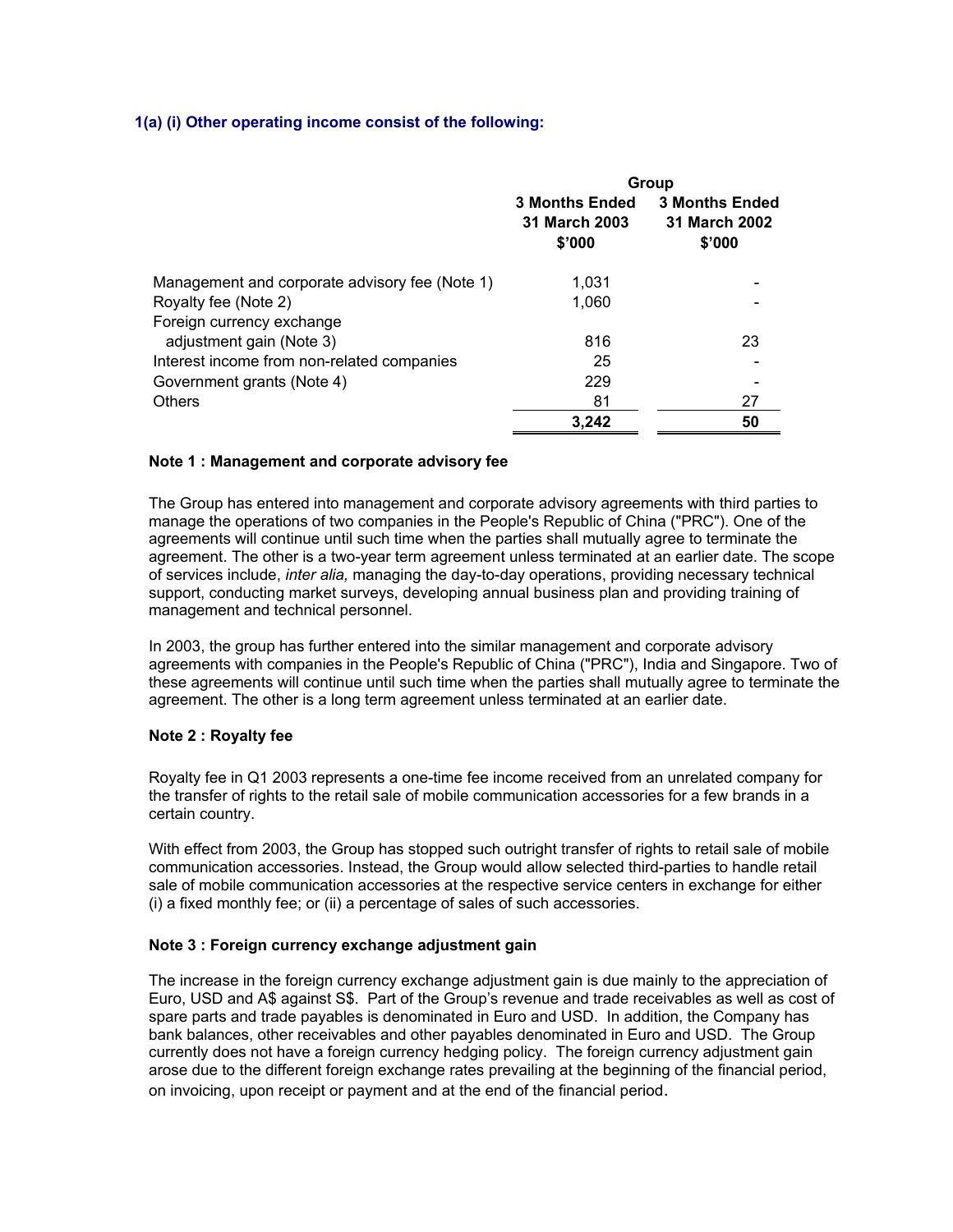## **1(a) (i) Other operating income consist of the following:**

|                                                | Group                                            |                                                  |
|------------------------------------------------|--------------------------------------------------|--------------------------------------------------|
|                                                | <b>3 Months Ended</b><br>31 March 2003<br>\$'000 | <b>3 Months Ended</b><br>31 March 2002<br>\$'000 |
| Management and corporate advisory fee (Note 1) | 1.031                                            |                                                  |
| Royalty fee (Note 2)                           | 1,060                                            |                                                  |
| Foreign currency exchange                      |                                                  |                                                  |
| adjustment gain (Note 3)                       | 816                                              | 23                                               |
| Interest income from non-related companies     | 25                                               |                                                  |
| Government grants (Note 4)                     | 229                                              |                                                  |
| <b>Others</b>                                  | 81                                               | 27                                               |
|                                                | 3,242                                            | 50                                               |

## **Note 1 : Management and corporate advisory fee**

The Group has entered into management and corporate advisory agreements with third parties to manage the operations of two companies in the People's Republic of China ("PRC"). One of the agreements will continue until such time when the parties shall mutually agree to terminate the agreement. The other is a two-year term agreement unless terminated at an earlier date. The scope of services include, *inter alia,* managing the day-to-day operations, providing necessary technical support, conducting market surveys, developing annual business plan and providing training of management and technical personnel.

In 2003, the group has further entered into the similar management and corporate advisory agreements with companies in the People's Republic of China ("PRC"), India and Singapore. Two of these agreements will continue until such time when the parties shall mutually agree to terminate the agreement. The other is a long term agreement unless terminated at an earlier date.

## **Note 2 : Royalty fee**

Royalty fee in Q1 2003 represents a one-time fee income received from an unrelated company for the transfer of rights to the retail sale of mobile communication accessories for a few brands in a certain country.

With effect from 2003, the Group has stopped such outright transfer of rights to retail sale of mobile communication accessories. Instead, the Group would allow selected third-parties to handle retail sale of mobile communication accessories at the respective service centers in exchange for either (i) a fixed monthly fee; or (ii) a percentage of sales of such accessories.

## **Note 3 : Foreign currency exchange adjustment gain**

The increase in the foreign currency exchange adjustment gain is due mainly to the appreciation of Euro, USD and A\$ against S\$. Part of the Group's revenue and trade receivables as well as cost of spare parts and trade payables is denominated in Euro and USD. In addition, the Company has bank balances, other receivables and other payables denominated in Euro and USD. The Group currently does not have a foreign currency hedging policy. The foreign currency adjustment gain arose due to the different foreign exchange rates prevailing at the beginning of the financial period, on invoicing, upon receipt or payment and at the end of the financial period.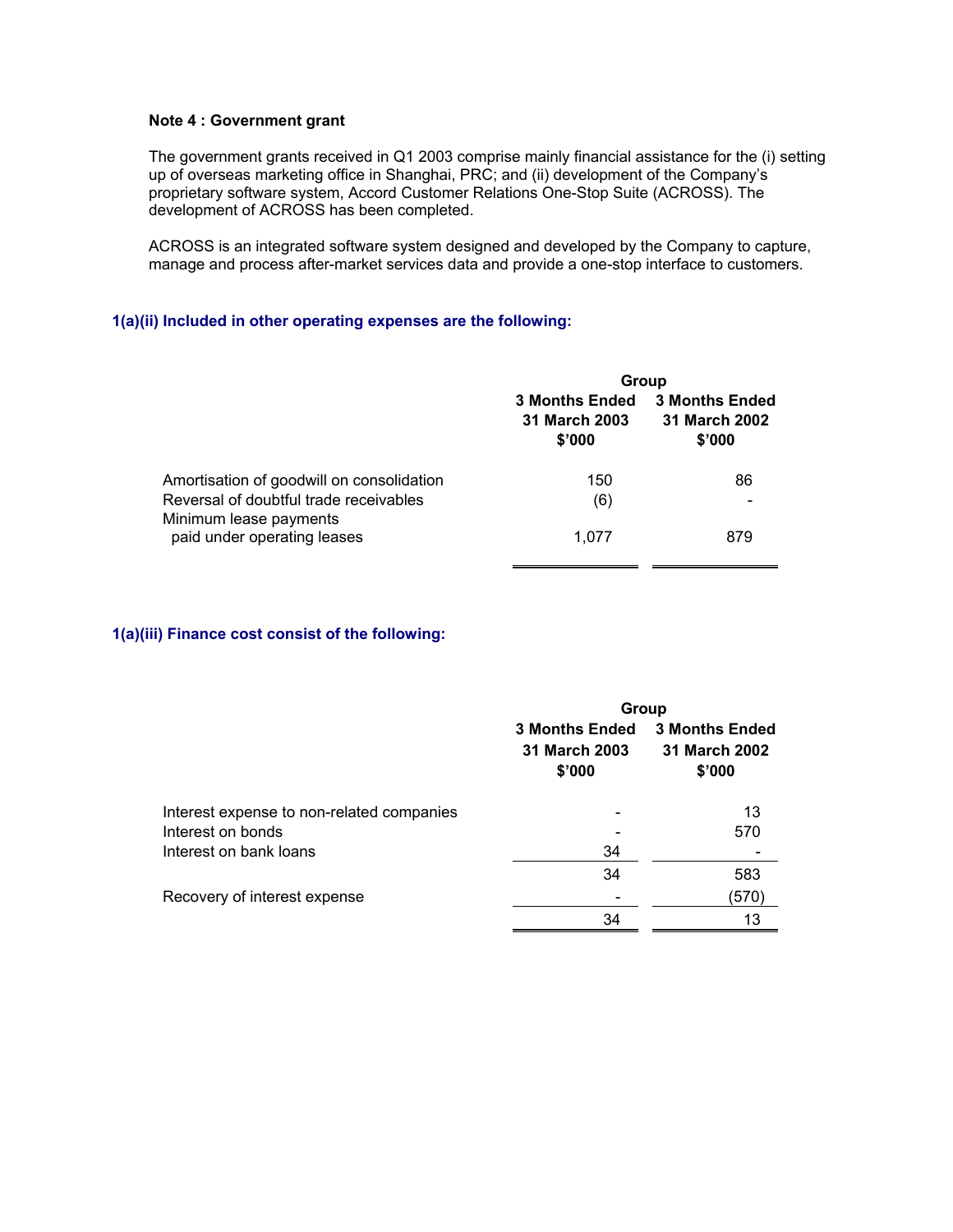## **Note 4 : Government grant**

The government grants received in Q1 2003 comprise mainly financial assistance for the (i) setting up of overseas marketing office in Shanghai, PRC; and (ii) development of the Company's proprietary software system, Accord Customer Relations One-Stop Suite (ACROSS). The development of ACROSS has been completed.

ACROSS is an integrated software system designed and developed by the Company to capture, manage and process after-market services data and provide a one-stop interface to customers.

## **1(a)(ii) Included in other operating expenses are the following:**

|                                                                  |                                                  | Group                                            |  |  |
|------------------------------------------------------------------|--------------------------------------------------|--------------------------------------------------|--|--|
|                                                                  | <b>3 Months Ended</b><br>31 March 2003<br>\$'000 | <b>3 Months Ended</b><br>31 March 2002<br>\$'000 |  |  |
| Amortisation of goodwill on consolidation                        | 150                                              | 86                                               |  |  |
| Reversal of doubtful trade receivables<br>Minimum lease payments | (6)                                              |                                                  |  |  |
| paid under operating leases                                      | 1.077                                            | 879                                              |  |  |

## **1(a)(iii) Finance cost consist of the following:**

|                                           | Group                                            |                                                  |
|-------------------------------------------|--------------------------------------------------|--------------------------------------------------|
|                                           | <b>3 Months Ended</b><br>31 March 2003<br>\$'000 | <b>3 Months Ended</b><br>31 March 2002<br>\$'000 |
| Interest expense to non-related companies |                                                  | 13                                               |
| Interest on bonds                         |                                                  | 570                                              |
| Interest on bank loans                    | 34                                               |                                                  |
|                                           | 34                                               | 583                                              |
| Recovery of interest expense              |                                                  | (570)                                            |
|                                           | 34                                               | 13                                               |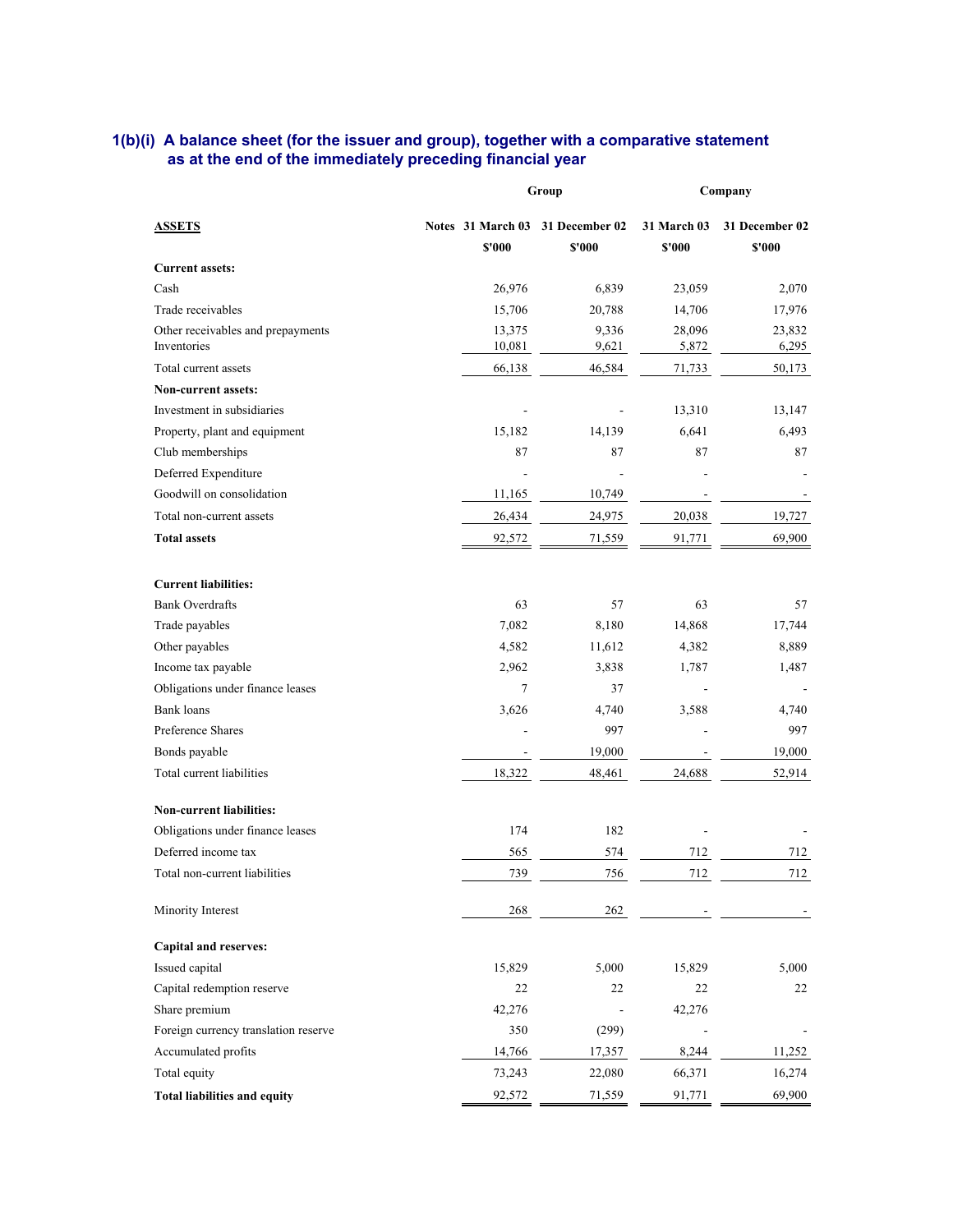### **1(b)(i) A balance sheet (for the issuer and group), together with a comparative statement as at the end of the immediately preceding financial year**

|                                                  |                                            | Group                    |                              | Company                  |  |
|--------------------------------------------------|--------------------------------------------|--------------------------|------------------------------|--------------------------|--|
| <b>ASSETS</b>                                    | Notes 31 March 03 31 December 02<br>\$'000 | \$'000                   | <b>31 March 03</b><br>\$'000 | 31 December 02<br>\$'000 |  |
| <b>Current assets:</b>                           |                                            |                          |                              |                          |  |
| Cash                                             | 26,976                                     | 6,839                    | 23,059                       | 2,070                    |  |
| Trade receivables                                | 15,706                                     | 20,788                   | 14,706                       | 17,976                   |  |
| Other receivables and prepayments<br>Inventories | 13,375<br>10,081                           | 9,336<br>9,621           | 28,096<br>5,872              | 23,832<br>6,295          |  |
| Total current assets                             | 66,138                                     | 46,584                   | 71,733                       | 50,173                   |  |
| <b>Non-current assets:</b>                       |                                            |                          |                              |                          |  |
| Investment in subsidiaries                       |                                            |                          | 13,310                       | 13,147                   |  |
| Property, plant and equipment                    | 15,182                                     | 14,139                   | 6,641                        | 6,493                    |  |
| Club memberships                                 | 87                                         | 87                       | 87                           | 87                       |  |
| Deferred Expenditure                             |                                            |                          |                              |                          |  |
| Goodwill on consolidation                        | 11,165                                     | 10,749                   |                              |                          |  |
| Total non-current assets                         | 26,434                                     | 24,975                   | 20,038                       | 19,727                   |  |
| <b>Total assets</b>                              | 92,572                                     | 71,559                   | 91,771                       | 69,900                   |  |
| <b>Current liabilities:</b>                      |                                            |                          |                              |                          |  |
| <b>Bank Overdrafts</b>                           | 63                                         | 57                       | 63                           | 57                       |  |
| Trade payables                                   | 7,082                                      | 8,180                    | 14,868                       | 17,744                   |  |
| Other payables                                   | 4,582                                      | 11,612                   | 4,382                        | 8,889                    |  |
| Income tax payable                               | 2,962                                      | 3,838                    | 1,787                        | 1,487                    |  |
| Obligations under finance leases                 | 7                                          | 37                       |                              |                          |  |
| <b>Bank</b> loans                                | 3,626                                      | 4,740                    | 3,588                        | 4,740                    |  |
| Preference Shares                                |                                            | 997                      |                              | 997                      |  |
| Bonds payable                                    |                                            | 19,000                   |                              | 19,000                   |  |
| Total current liabilities                        | 18,322                                     | 48,461                   | 24,688                       | 52,914                   |  |
| Non-current liabilities:                         |                                            |                          |                              |                          |  |
| Obligations under finance leases                 | 174                                        | 182                      |                              |                          |  |
| Deferred income tax                              | 565                                        | 574                      | 712                          | 712                      |  |
| Total non-current liabilities                    | 739                                        | 756                      | 712                          | 712                      |  |
| Minority Interest                                | 268                                        | 262                      |                              |                          |  |
| <b>Capital and reserves:</b>                     |                                            |                          |                              |                          |  |
| Issued capital                                   | 15,829                                     | 5,000                    | 15,829                       | 5,000                    |  |
| Capital redemption reserve                       | 22                                         | 22                       | 22                           | 22                       |  |
| Share premium                                    | 42,276                                     | $\overline{\phantom{a}}$ | 42,276                       |                          |  |
| Foreign currency translation reserve             | 350                                        | (299)                    |                              |                          |  |
| Accumulated profits                              | 14,766                                     | 17,357                   | 8,244                        | 11,252                   |  |
| Total equity                                     | 73,243                                     | 22,080                   | 66,371                       | 16,274                   |  |
| <b>Total liabilities and equity</b>              | 92,572                                     | 71,559                   | 91,771                       | 69,900                   |  |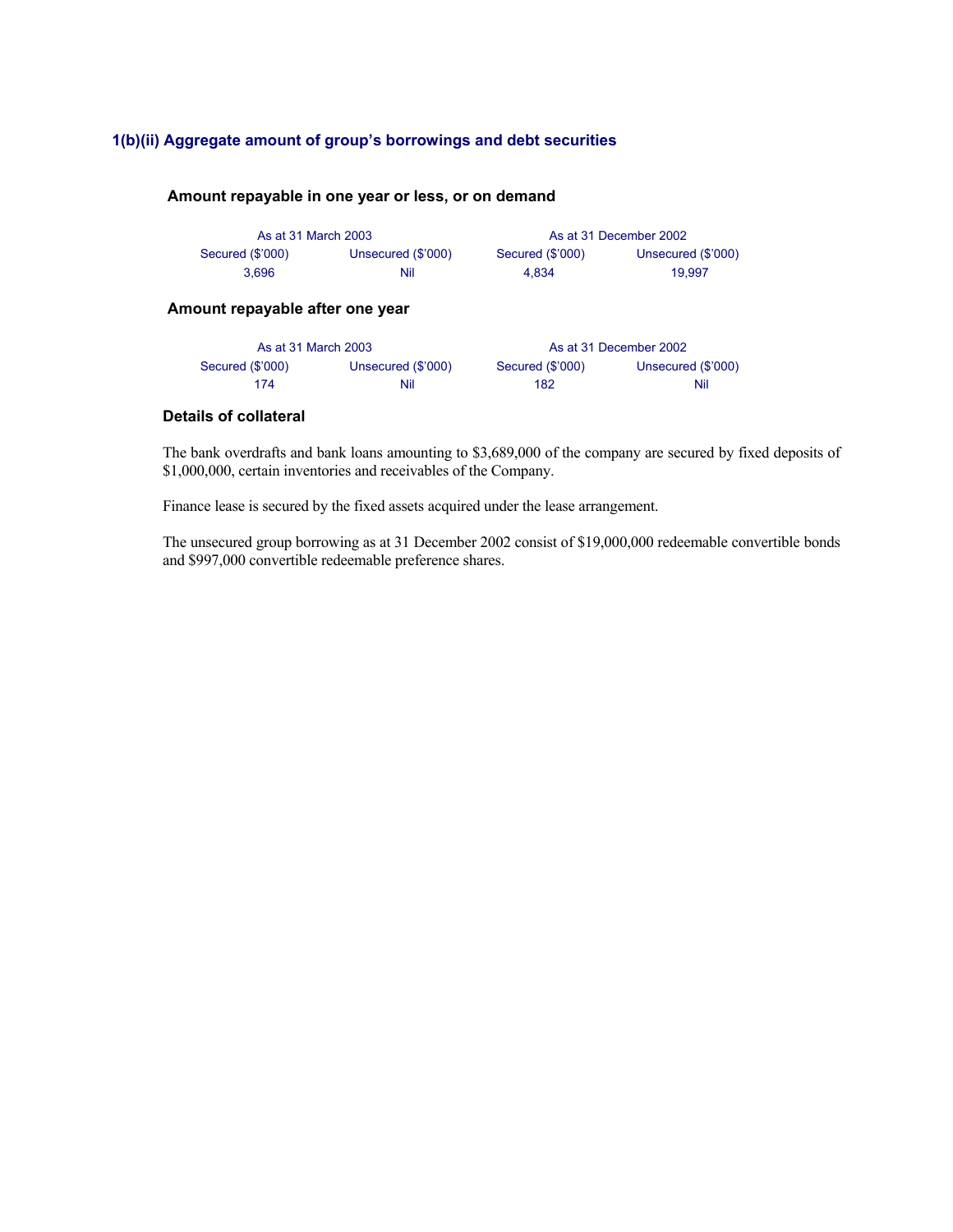## **1(b)(ii) Aggregate amount of group's borrowings and debt securities**

## **Amount repayable in one year or less, or on demand**

| As at 31 March 2003 |                    |                  | As at 31 December 2002 |
|---------------------|--------------------|------------------|------------------------|
| Secured (\$'000)    | Unsecured (\$'000) | Secured (\$'000) | Unsecured (\$'000)     |
| 3.696               | Nil                | 4.834            | 19.997                 |

## **Amount repayable after one year**

| As at 31 March 2003 |                    |                  | As at 31 December 2002 |
|---------------------|--------------------|------------------|------------------------|
| Secured (\$'000)    | Unsecured (\$'000) | Secured (\$'000) | Unsecured (\$'000)     |
| 174                 | Nil                | 182              | Nil                    |

## **Details of collateral**

The bank overdrafts and bank loans amounting to \$3,689,000 of the company are secured by fixed deposits of \$1,000,000, certain inventories and receivables of the Company.

Finance lease is secured by the fixed assets acquired under the lease arrangement.

The unsecured group borrowing as at 31 December 2002 consist of \$19,000,000 redeemable convertible bonds and \$997,000 convertible redeemable preference shares.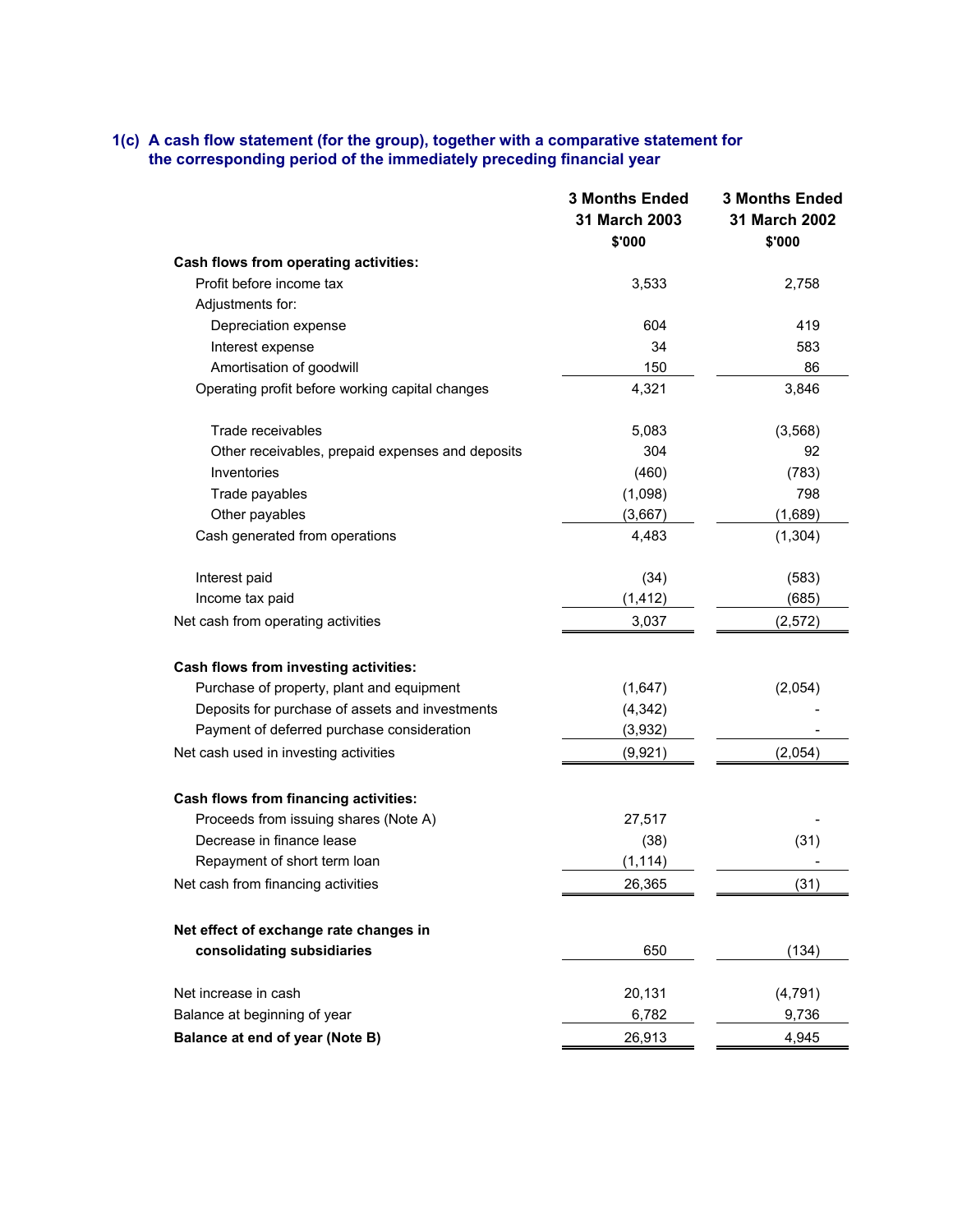## **1(c) A cash flow statement (for the group), together with a comparative statement for the corresponding period of the immediately preceding financial year**

|                                                  | <b>3 Months Ended</b><br>31 March 2003<br>\$'000 | <b>3 Months Ended</b><br>31 March 2002<br>\$'000 |
|--------------------------------------------------|--------------------------------------------------|--------------------------------------------------|
| Cash flows from operating activities:            |                                                  |                                                  |
| Profit before income tax                         | 3,533                                            | 2,758                                            |
| Adjustments for:                                 |                                                  |                                                  |
| Depreciation expense                             | 604                                              | 419                                              |
| Interest expense                                 | 34                                               | 583                                              |
| Amortisation of goodwill                         | 150                                              | 86                                               |
| Operating profit before working capital changes  | 4,321                                            | 3,846                                            |
| Trade receivables                                | 5,083                                            | (3, 568)                                         |
| Other receivables, prepaid expenses and deposits | 304                                              | 92                                               |
| Inventories                                      | (460)                                            | (783)                                            |
| Trade payables                                   | (1,098)                                          | 798                                              |
| Other payables                                   | (3,667)                                          | (1,689)                                          |
| Cash generated from operations                   | 4,483                                            | (1, 304)                                         |
| Interest paid                                    | (34)                                             | (583)                                            |
| Income tax paid                                  | (1, 412)                                         | (685)                                            |
| Net cash from operating activities               | 3,037                                            | (2,572)                                          |
| Cash flows from investing activities:            |                                                  |                                                  |
| Purchase of property, plant and equipment        | (1,647)                                          | (2,054)                                          |
| Deposits for purchase of assets and investments  | (4, 342)                                         |                                                  |
| Payment of deferred purchase consideration       | (3,932)                                          |                                                  |
| Net cash used in investing activities            | (9,921)                                          | (2,054)                                          |
| Cash flows from financing activities:            |                                                  |                                                  |
| Proceeds from issuing shares (Note A)            | 27,517                                           |                                                  |
| Decrease in finance lease                        | (38)                                             | (31)                                             |
| Repayment of short term loan                     | (1, 114)                                         |                                                  |
| Net cash from financing activities               | 26,365                                           | (31)                                             |
| Net effect of exchange rate changes in           |                                                  |                                                  |
| consolidating subsidiaries                       | 650                                              | (134)                                            |
| Net increase in cash                             | 20,131                                           | (4, 791)                                         |
| Balance at beginning of year                     | 6,782                                            | 9,736                                            |
| Balance at end of year (Note B)                  | 26,913                                           | 4,945                                            |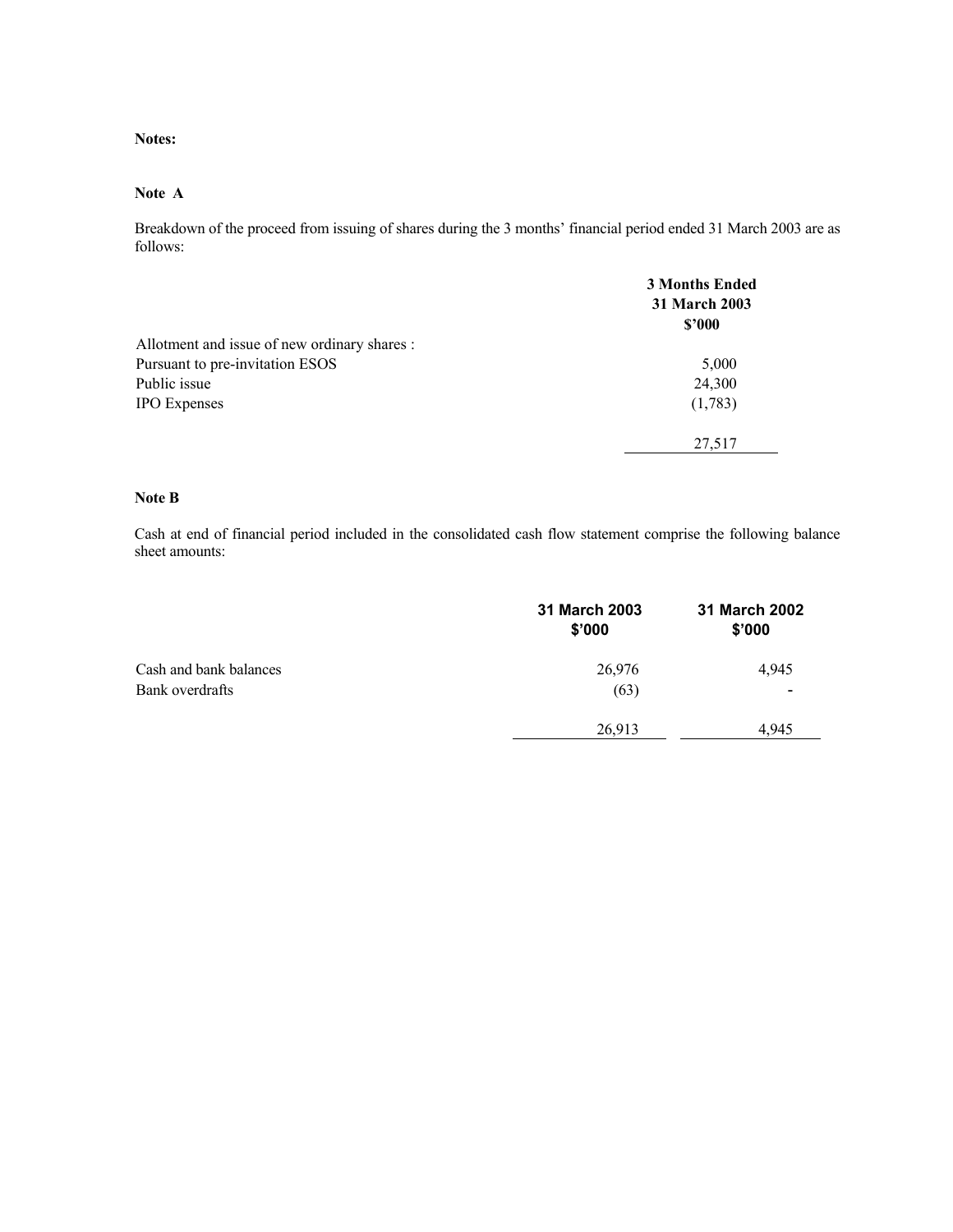**Notes:** 

#### **Note A**

Breakdown of the proceed from issuing of shares during the 3 months' financial period ended 31 March 2003 are as follows:

|                                              | <b>3 Months Ended</b><br><b>31 March 2003</b><br>\$2000 |
|----------------------------------------------|---------------------------------------------------------|
| Allotment and issue of new ordinary shares : |                                                         |
| Pursuant to pre-invitation ESOS              | 5,000                                                   |
| Public issue                                 | 24,300                                                  |
| <b>IPO</b> Expenses                          | (1,783)                                                 |
|                                              | 27,517                                                  |

## **Note B**

Cash at end of financial period included in the consolidated cash flow statement comprise the following balance sheet amounts:

|                        | 31 March 2003<br>\$'000 | 31 March 2002<br>\$'000 |
|------------------------|-------------------------|-------------------------|
| Cash and bank balances | 26,976                  | 4,945                   |
| Bank overdrafts        | (63)                    |                         |
|                        | 26,913                  | 4.945                   |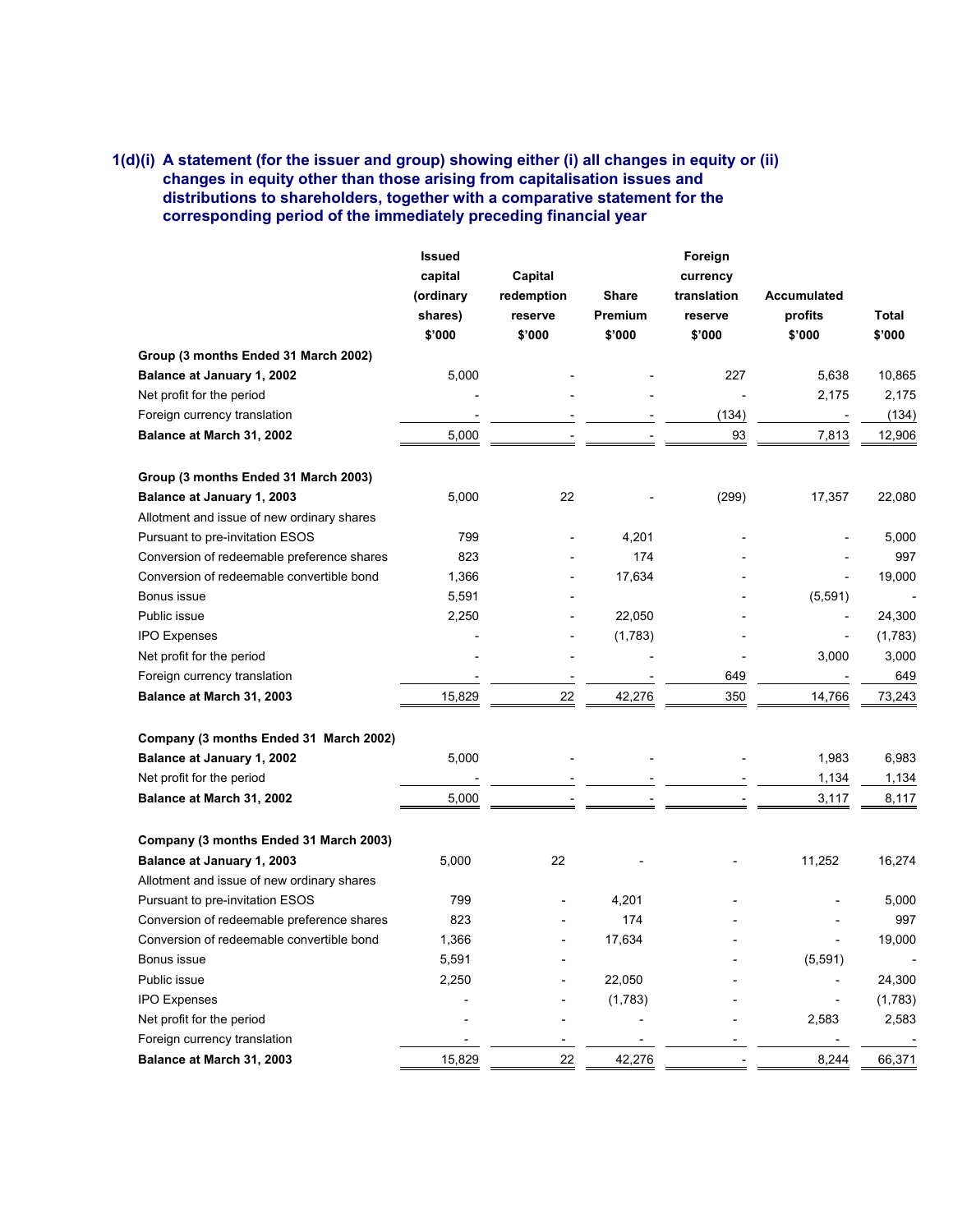## **1(d)(i) A statement (for the issuer and group) showing either (i) all changes in equity or (ii) changes in equity other than those arising from capitalisation issues and distributions to shareholders, together with a comparative statement for the corresponding period of the immediately preceding financial year**

|                                            | <b>Issued</b> |                 |              | Foreign     |             |         |
|--------------------------------------------|---------------|-----------------|--------------|-------------|-------------|---------|
|                                            | capital       | Capital         |              | currency    |             |         |
|                                            | (ordinary     | redemption      | <b>Share</b> | translation | Accumulated |         |
|                                            | shares)       | reserve         | Premium      | reserve     | profits     | Total   |
|                                            | \$'000        | \$'000          | \$'000       | \$'000      | \$'000      | \$'000  |
| Group (3 months Ended 31 March 2002)       |               |                 |              |             |             |         |
| Balance at January 1, 2002                 | 5,000         |                 |              | 227         | 5,638       | 10,865  |
| Net profit for the period                  |               |                 |              |             | 2,175       | 2,175   |
| Foreign currency translation               |               |                 |              | (134)       |             | (134)   |
| Balance at March 31, 2002                  | 5,000         |                 |              | 93          | 7,813       | 12,906  |
| Group (3 months Ended 31 March 2003)       |               |                 |              |             |             |         |
| Balance at January 1, 2003                 | 5,000         | 22              |              | (299)       | 17,357      | 22,080  |
| Allotment and issue of new ordinary shares |               |                 |              |             |             |         |
| Pursuant to pre-invitation ESOS            | 799           |                 | 4,201        |             |             | 5,000   |
| Conversion of redeemable preference shares | 823           |                 | 174          |             |             | 997     |
| Conversion of redeemable convertible bond  | 1,366         |                 | 17,634       |             |             | 19,000  |
| Bonus issue                                | 5,591         |                 |              |             | (5, 591)    |         |
| Public issue                               | 2,250         |                 | 22,050       |             |             | 24,300  |
| <b>IPO Expenses</b>                        |               |                 | (1,783)      |             |             | (1,783) |
| Net profit for the period                  |               |                 |              |             | 3,000       | 3,000   |
| Foreign currency translation               |               |                 |              | 649         |             | 649     |
| Balance at March 31, 2003                  | 15,829        | $\overline{22}$ | 42,276       | 350         | 14,766      | 73,243  |
| Company (3 months Ended 31 March 2002)     |               |                 |              |             |             |         |
| Balance at January 1, 2002                 | 5,000         |                 |              |             | 1,983       | 6,983   |
| Net profit for the period                  |               |                 |              |             | 1,134       | 1,134   |
| Balance at March 31, 2002                  | 5,000         |                 |              |             | 3,117       | 8,117   |
| Company (3 months Ended 31 March 2003)     |               |                 |              |             |             |         |
| Balance at January 1, 2003                 | 5,000         | 22              |              |             | 11,252      | 16,274  |
| Allotment and issue of new ordinary shares |               |                 |              |             |             |         |
| Pursuant to pre-invitation ESOS            | 799           |                 | 4,201        |             |             | 5,000   |
| Conversion of redeemable preference shares | 823           |                 | 174          |             |             | 997     |
| Conversion of redeemable convertible bond  | 1,366         |                 | 17,634       |             |             | 19.000  |
| Bonus issue                                | 5,591         |                 |              |             | (5, 591)    |         |
| Public issue                               | 2,250         |                 | 22,050       |             |             | 24,300  |
| <b>IPO Expenses</b>                        |               |                 | (1,783)      |             |             | (1,783) |
| Net profit for the period                  |               |                 |              |             | 2,583       | 2,583   |
| Foreign currency translation               |               |                 |              |             |             |         |
| Balance at March 31, 2003                  | 15,829        | 22              | 42,276       |             | 8,244       | 66,371  |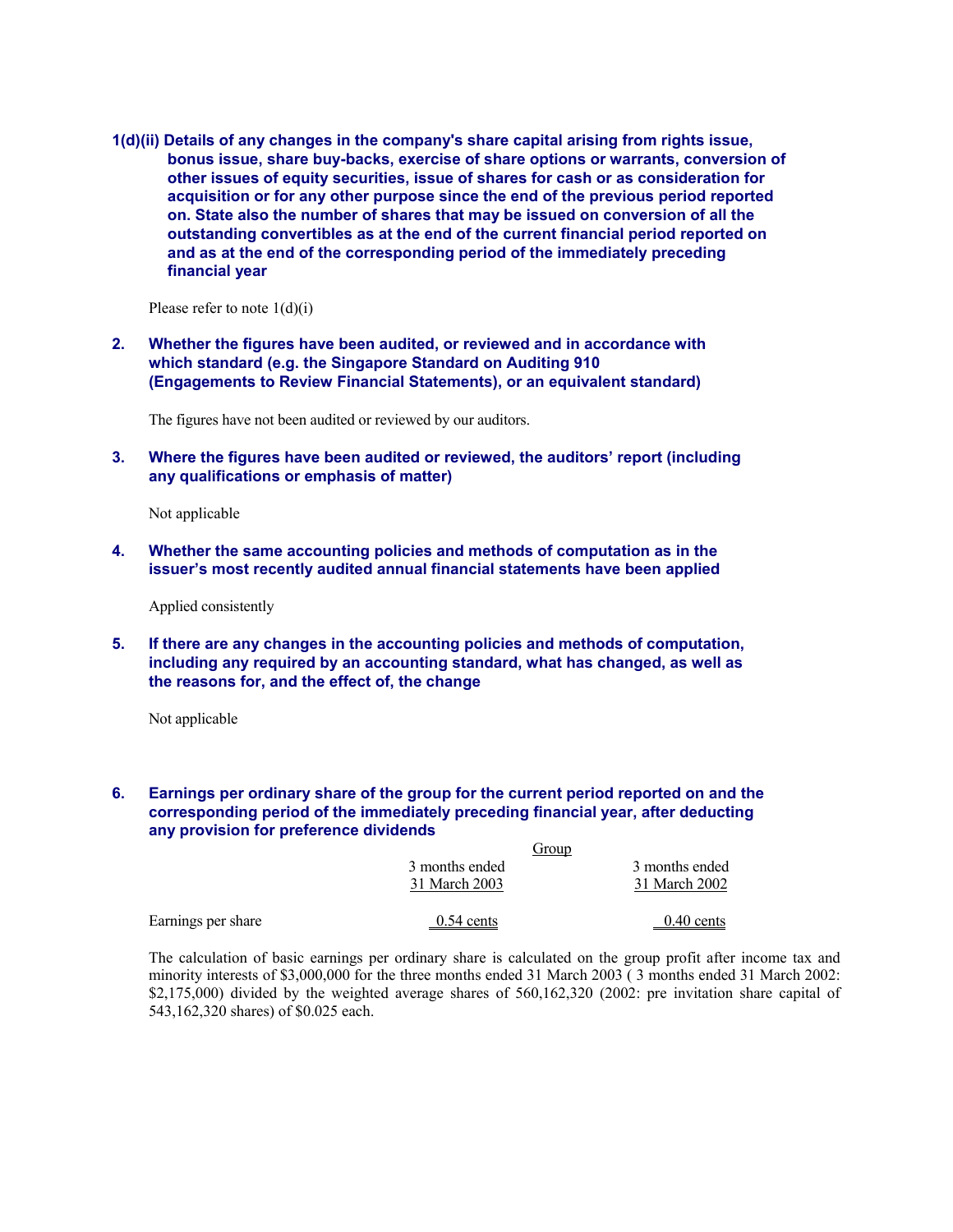**1(d)(ii) Details of any changes in the company's share capital arising from rights issue, bonus issue, share buy-backs, exercise of share options or warrants, conversion of other issues of equity securities, issue of shares for cash or as consideration for acquisition or for any other purpose since the end of the previous period reported on. State also the number of shares that may be issued on conversion of all the outstanding convertibles as at the end of the current financial period reported on and as at the end of the corresponding period of the immediately preceding financial year** 

Please refer to note  $1(d)(i)$ 

**2. Whether the figures have been audited, or reviewed and in accordance with which standard (e.g. the Singapore Standard on Auditing 910 (Engagements to Review Financial Statements), or an equivalent standard)** 

The figures have not been audited or reviewed by our auditors.

**3. Where the figures have been audited or reviewed, the auditors' report (including any qualifications or emphasis of matter)** 

Not applicable

**4. Whether the same accounting policies and methods of computation as in the issuer's most recently audited annual financial statements have been applied** 

Applied consistently

**5. If there are any changes in the accounting policies and methods of computation, including any required by an accounting standard, what has changed, as well as the reasons for, and the effect of, the change** 

Not applicable

## **6. Earnings per ordinary share of the group for the current period reported on and the corresponding period of the immediately preceding financial year, after deducting any provision for preference dividends**

|                    | Group          |                |
|--------------------|----------------|----------------|
|                    | 3 months ended | 3 months ended |
|                    | 31 March 2003  | 31 March 2002  |
| Earnings per share | $0.54$ cents   | $0.40$ cents   |

The calculation of basic earnings per ordinary share is calculated on the group profit after income tax and minority interests of \$3,000,000 for the three months ended 31 March 2003 ( 3 months ended 31 March 2002: \$2,175,000) divided by the weighted average shares of 560,162,320 (2002: pre invitation share capital of 543,162,320 shares) of \$0.025 each.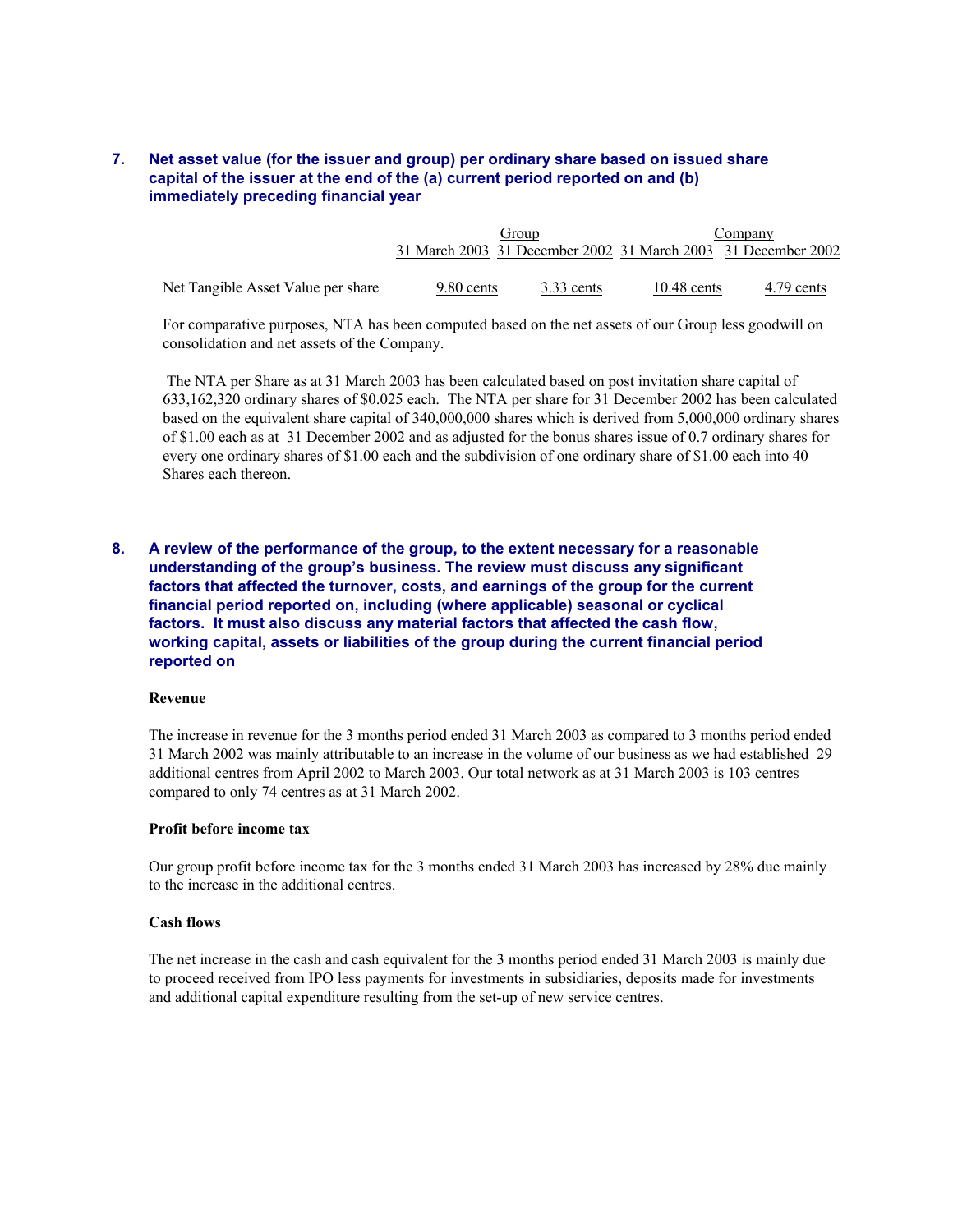## **7. Net asset value (for the issuer and group) per ordinary share based on issued share capital of the issuer at the end of the (a) current period reported on and (b) immediately preceding financial year**

|                                    | Group      |              | Company       |                                                               |
|------------------------------------|------------|--------------|---------------|---------------------------------------------------------------|
|                                    |            |              |               | 31 March 2003 31 December 2002 31 March 2003 31 December 2002 |
|                                    |            |              |               |                                                               |
| Net Tangible Asset Value per share | 9.80 cents | $3.33$ cents | $10.48$ cents | 4.79 cents                                                    |

For comparative purposes, NTA has been computed based on the net assets of our Group less goodwill on consolidation and net assets of the Company.

 The NTA per Share as at 31 March 2003 has been calculated based on post invitation share capital of 633,162,320 ordinary shares of \$0.025 each. The NTA per share for 31 December 2002 has been calculated based on the equivalent share capital of 340,000,000 shares which is derived from 5,000,000 ordinary shares of \$1.00 each as at 31 December 2002 and as adjusted for the bonus shares issue of 0.7 ordinary shares for every one ordinary shares of \$1.00 each and the subdivision of one ordinary share of \$1.00 each into 40 Shares each thereon.

## **8. A review of the performance of the group, to the extent necessary for a reasonable understanding of the group's business. The review must discuss any significant factors that affected the turnover, costs, and earnings of the group for the current financial period reported on, including (where applicable) seasonal or cyclical factors. It must also discuss any material factors that affected the cash flow, working capital, assets or liabilities of the group during the current financial period reported on**

#### **Revenue**

The increase in revenue for the 3 months period ended 31 March 2003 as compared to 3 months period ended 31 March 2002 was mainly attributable to an increase in the volume of our business as we had established 29 additional centres from April 2002 to March 2003. Our total network as at 31 March 2003 is 103 centres compared to only 74 centres as at 31 March 2002.

#### **Profit before income tax**

Our group profit before income tax for the 3 months ended 31 March 2003 has increased by 28% due mainly to the increase in the additional centres.

#### **Cash flows**

The net increase in the cash and cash equivalent for the 3 months period ended 31 March 2003 is mainly due to proceed received from IPO less payments for investments in subsidiaries, deposits made for investments and additional capital expenditure resulting from the set-up of new service centres.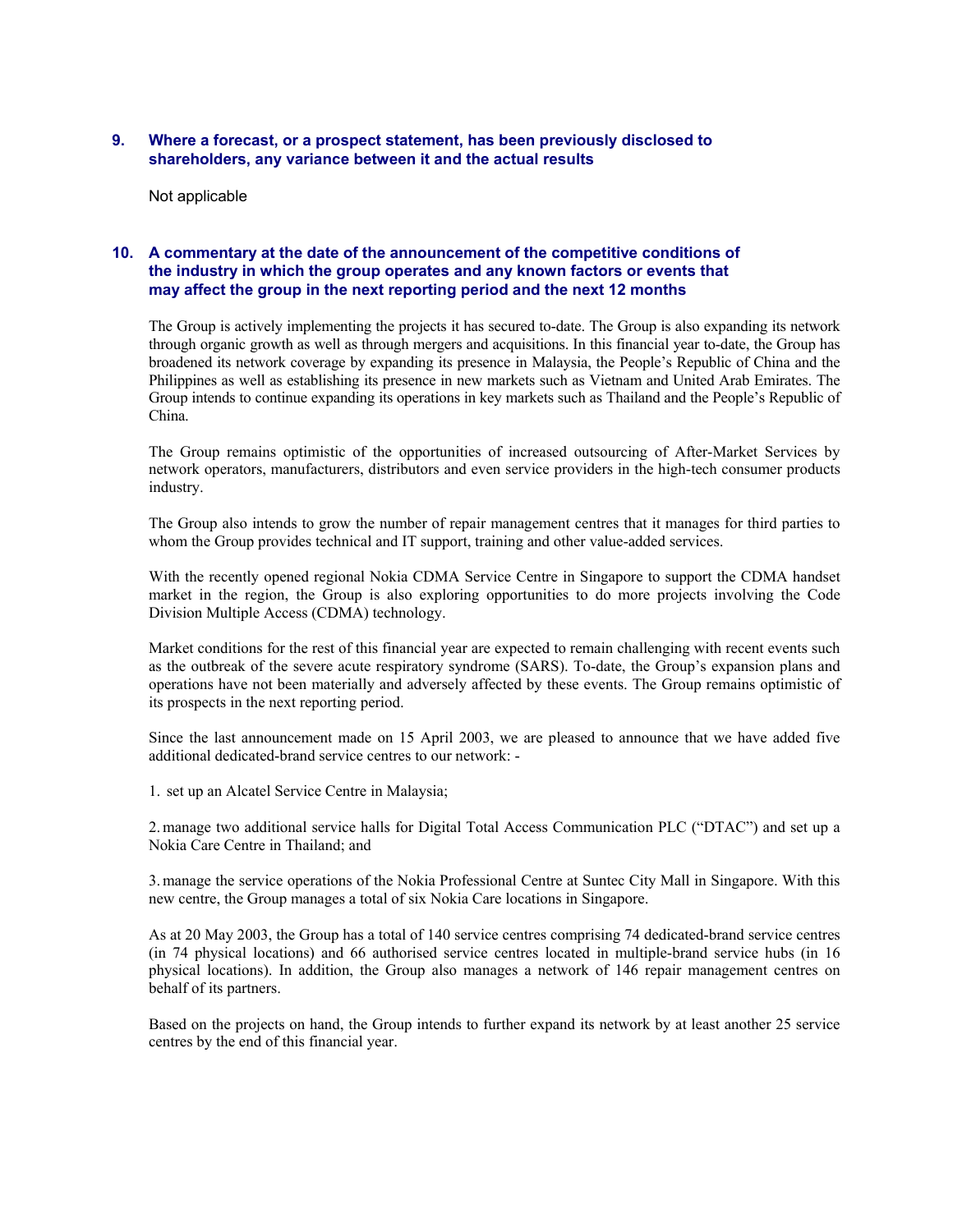## **9. Where a forecast, or a prospect statement, has been previously disclosed to shareholders, any variance between it and the actual results**

Not applicable

## **10. A commentary at the date of the announcement of the competitive conditions of the industry in which the group operates and any known factors or events that may affect the group in the next reporting period and the next 12 months**

The Group is actively implementing the projects it has secured to-date. The Group is also expanding its network through organic growth as well as through mergers and acquisitions. In this financial year to-date, the Group has broadened its network coverage by expanding its presence in Malaysia, the People's Republic of China and the Philippines as well as establishing its presence in new markets such as Vietnam and United Arab Emirates. The Group intends to continue expanding its operations in key markets such as Thailand and the People's Republic of China.

The Group remains optimistic of the opportunities of increased outsourcing of After-Market Services by network operators, manufacturers, distributors and even service providers in the high-tech consumer products industry.

The Group also intends to grow the number of repair management centres that it manages for third parties to whom the Group provides technical and IT support, training and other value-added services.

With the recently opened regional Nokia CDMA Service Centre in Singapore to support the CDMA handset market in the region, the Group is also exploring opportunities to do more projects involving the Code Division Multiple Access (CDMA) technology.

Market conditions for the rest of this financial year are expected to remain challenging with recent events such as the outbreak of the severe acute respiratory syndrome (SARS). To-date, the Group's expansion plans and operations have not been materially and adversely affected by these events. The Group remains optimistic of its prospects in the next reporting period.

Since the last announcement made on 15 April 2003, we are pleased to announce that we have added five additional dedicated-brand service centres to our network: -

1. set up an Alcatel Service Centre in Malaysia;

2. manage two additional service halls for Digital Total Access Communication PLC ("DTAC") and set up a Nokia Care Centre in Thailand; and

3. manage the service operations of the Nokia Professional Centre at Suntec City Mall in Singapore. With this new centre, the Group manages a total of six Nokia Care locations in Singapore.

As at 20 May 2003, the Group has a total of 140 service centres comprising 74 dedicated-brand service centres (in 74 physical locations) and 66 authorised service centres located in multiple-brand service hubs (in 16 physical locations). In addition, the Group also manages a network of 146 repair management centres on behalf of its partners.

Based on the projects on hand, the Group intends to further expand its network by at least another 25 service centres by the end of this financial year.